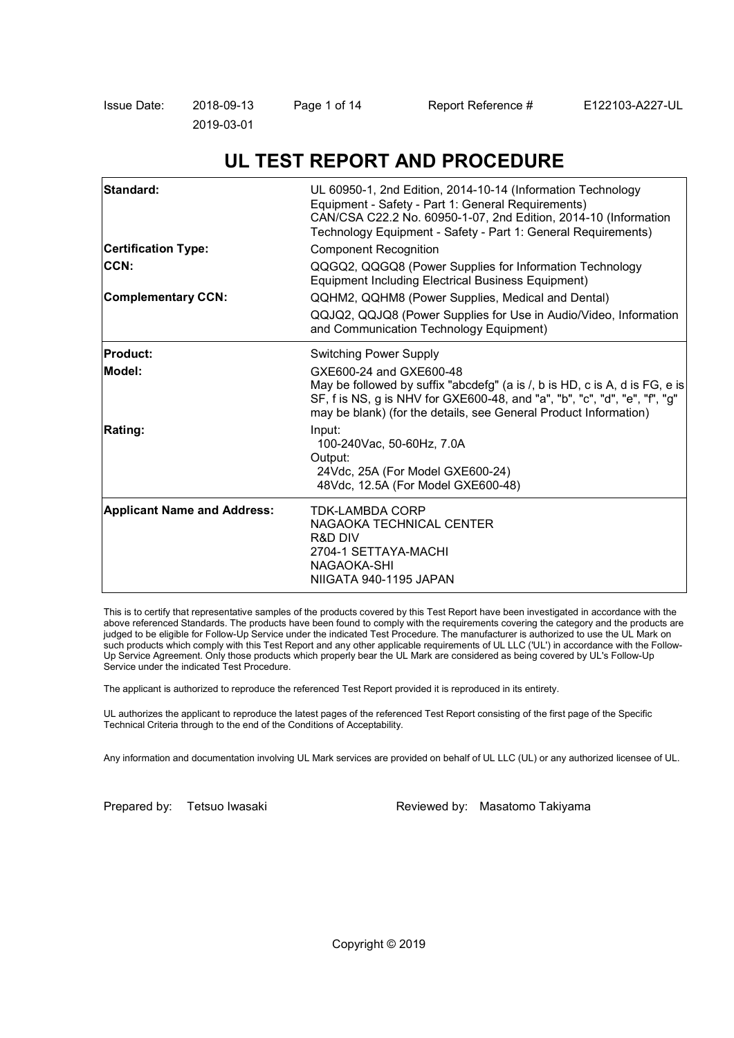| Issue Date: | 2018-09-13 | Page 1 of 14 | Report Reference # | E122103-A227-UL |
|-------------|------------|--------------|--------------------|-----------------|
|             | 2019-03-01 |              |                    |                 |

# **UL TEST REPORT AND PROCEDURE**

| Standard:                          | UL 60950-1, 2nd Edition, 2014-10-14 (Information Technology<br>Equipment - Safety - Part 1: General Requirements)<br>CAN/CSA C22.2 No. 60950-1-07, 2nd Edition, 2014-10 (Information<br>Technology Equipment - Safety - Part 1: General Requirements)    |  |
|------------------------------------|----------------------------------------------------------------------------------------------------------------------------------------------------------------------------------------------------------------------------------------------------------|--|
| <b>Certification Type:</b>         | <b>Component Recognition</b>                                                                                                                                                                                                                             |  |
| CCN:                               | QQGQ2, QQGQ8 (Power Supplies for Information Technology<br>Equipment Including Electrical Business Equipment)                                                                                                                                            |  |
| <b>Complementary CCN:</b>          | QQHM2, QQHM8 (Power Supplies, Medical and Dental)                                                                                                                                                                                                        |  |
|                                    | QQJQ2, QQJQ8 (Power Supplies for Use in Audio/Video, Information<br>and Communication Technology Equipment)                                                                                                                                              |  |
| <b>Product:</b>                    | <b>Switching Power Supply</b>                                                                                                                                                                                                                            |  |
| Model:                             | GXE600-24 and GXE600-48<br>May be followed by suffix "abcdefg" (a is /, b is HD, c is A, d is FG, e is<br>SF, f is NS, g is NHV for GXE600-48, and "a", "b", "c", "d", "e", "f", "g"<br>may be blank) (for the details, see General Product Information) |  |
| <b>Rating:</b>                     | Input:<br>100-240Vac, 50-60Hz, 7.0A<br>Output:<br>24Vdc, 25A (For Model GXE600-24)<br>48Vdc, 12.5A (For Model GXE600-48)                                                                                                                                 |  |
| <b>Applicant Name and Address:</b> | <b>TDK-LAMBDA CORP</b><br>NAGAOKA TECHNICAL CENTER<br><b>R&amp;D DIV</b><br>2704-1 SETTAYA-MACHI<br>NAGAOKA-SHI<br>NIIGATA 940-1195 JAPAN                                                                                                                |  |

This is to certify that representative samples of the products covered by this Test Report have been investigated in accordance with the above referenced Standards. The products have been found to comply with the requirements covering the category and the products are judged to be eligible for Follow-Up Service under the indicated Test Procedure. The manufacturer is authorized to use the UL Mark on such products which comply with this Test Report and any other applicable requirements of UL LLC ('UL') in accordance with the Follow-Up Service Agreement. Only those products which properly bear the UL Mark are considered as being covered by UL's Follow-Up Service under the indicated Test Procedure.

The applicant is authorized to reproduce the referenced Test Report provided it is reproduced in its entirety.

UL authorizes the applicant to reproduce the latest pages of the referenced Test Report consisting of the first page of the Specific Technical Criteria through to the end of the Conditions of Acceptability.

Any information and documentation involving UL Mark services are provided on behalf of UL LLC (UL) or any authorized licensee of UL.

Prepared by: Tetsuo Iwasaki Reviewed by: Masatomo Takiyama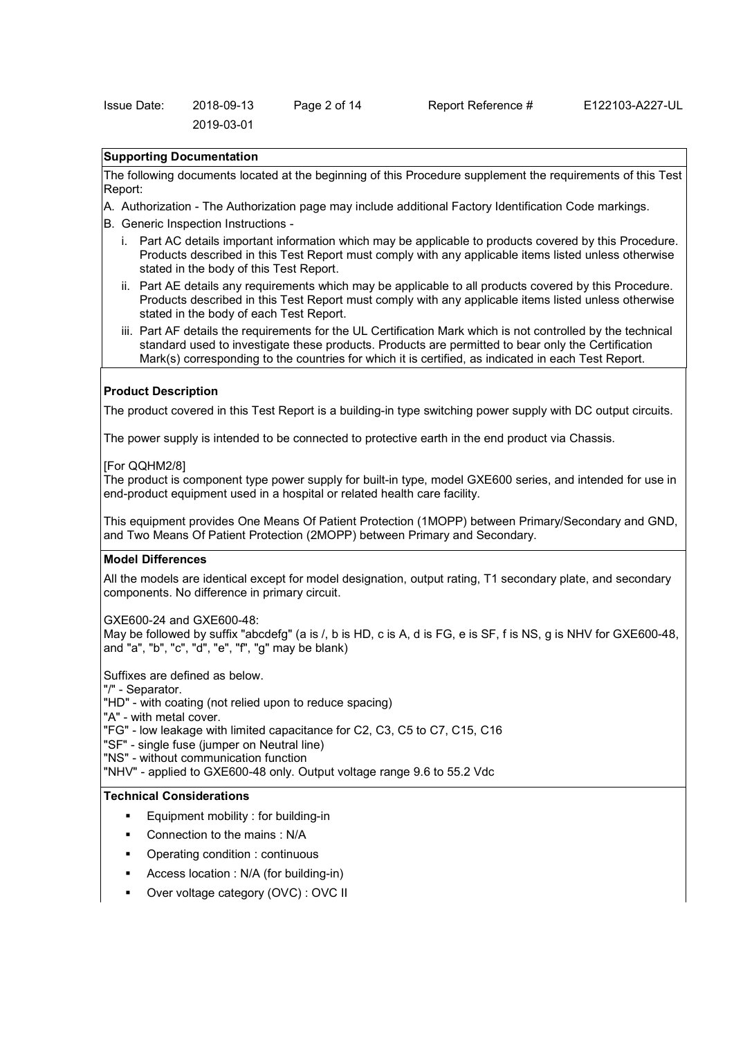#### **Supporting Documentation**

The following documents located at the beginning of this Procedure supplement the requirements of this Test Report:

- A. Authorization The Authorization page may include additional Factory Identification Code markings.
- B. Generic Inspection Instructions
	- i. Part AC details important information which may be applicable to products covered by this Procedure. Products described in this Test Report must comply with any applicable items listed unless otherwise stated in the body of this Test Report.
	- ii. Part AE details any requirements which may be applicable to all products covered by this Procedure. Products described in this Test Report must comply with any applicable items listed unless otherwise stated in the body of each Test Report.
	- iii. Part AF details the requirements for the UL Certification Mark which is not controlled by the technical standard used to investigate these products. Products are permitted to bear only the Certification Mark(s) corresponding to the countries for which it is certified, as indicated in each Test Report.

#### **Product Description**

The product covered in this Test Report is a building-in type switching power supply with DC output circuits.

The power supply is intended to be connected to protective earth in the end product via Chassis.

#### [For QQHM2/8]

The product is component type power supply for built-in type, model GXE600 series, and intended for use in end-product equipment used in a hospital or related health care facility.

This equipment provides One Means Of Patient Protection (1MOPP) between Primary/Secondary and GND, and Two Means Of Patient Protection (2MOPP) between Primary and Secondary.

#### **Model Differences**

All the models are identical except for model designation, output rating, T1 secondary plate, and secondary components. No difference in primary circuit.

GXE600-24 and GXE600-48:

May be followed by suffix "abcdefg" (a is /, b is HD, c is A, d is FG, e is SF, f is NS, g is NHV for GXE600-48, and "a", "b", "c", "d", "e", "f", "g" may be blank)

Suffixes are defined as below.

"/" - Separator.

"HD" - with coating (not relied upon to reduce spacing)

"A" - with metal cover.

"FG" - low leakage with limited capacitance for C2, C3, C5 to C7, C15, C16

"SF" - single fuse (jumper on Neutral line)

"NS" - without communication function

"NHV" - applied to GXE600-48 only. Output voltage range 9.6 to 55.2 Vdc

#### **Technical Considerations**

- Equipment mobility : for building-in
- Connection to the mains : N/A
- Operating condition : continuous
- Access location : N/A (for building-in)
- Over voltage category (OVC) : OVC II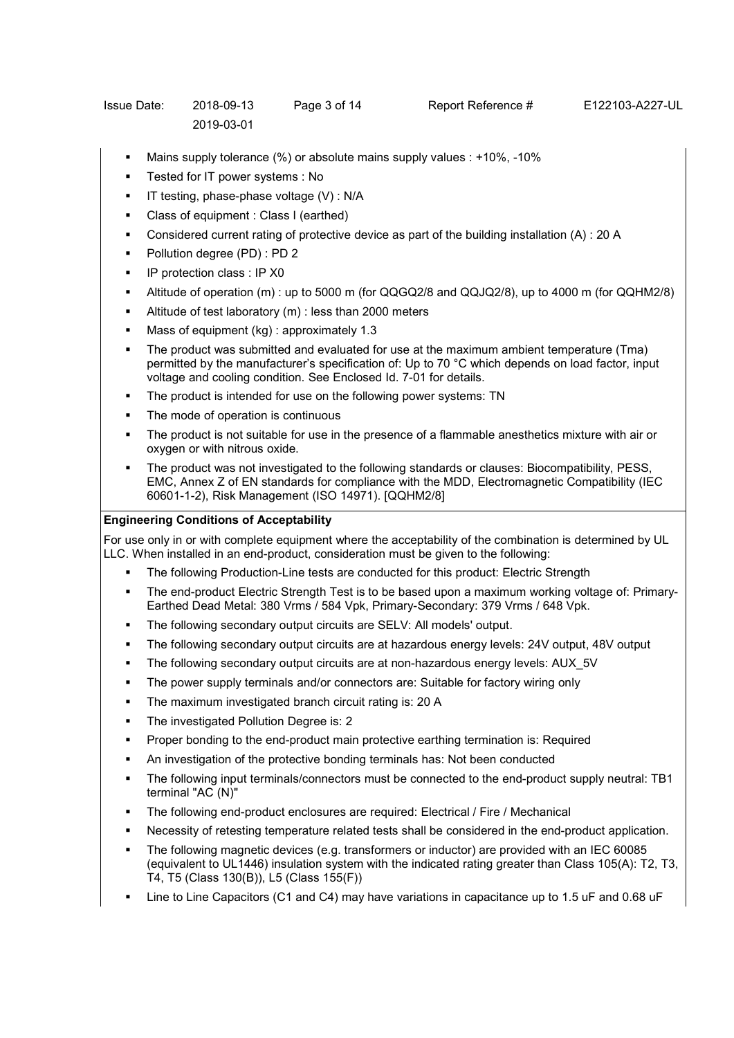- Mains supply tolerance (%) or absolute mains supply values : +10%, -10%
- Tested for IT power systems : No
- $\blacksquare$  IT testing, phase-phase voltage (V) : N/A
- Class of equipment : Class I (earthed)
- Considered current rating of protective device as part of the building installation (A) : 20 A
- Pollution degree (PD) : PD 2
- **IF protection class : IP X0**
- Altitude of operation (m) : up to 5000 m (for QQGQ2/8 and QQJQ2/8), up to 4000 m (for QQHM2/8)
- Altitude of test laboratory (m) : less than 2000 meters
- Mass of equipment (kg) : approximately 1.3
- The product was submitted and evaluated for use at the maximum ambient temperature (Tma) permitted by the manufacturer's specification of: Up to 70 °C which depends on load factor, input voltage and cooling condition. See Enclosed Id. 7-01 for details.
- The product is intended for use on the following power systems: TN
- The mode of operation is continuous
- The product is not suitable for use in the presence of a flammable anesthetics mixture with air or oxygen or with nitrous oxide.
- The product was not investigated to the following standards or clauses: Biocompatibility, PESS, EMC, Annex Z of EN standards for compliance with the MDD, Electromagnetic Compatibility (IEC 60601-1-2), Risk Management (ISO 14971). [QQHM2/8]

## **Engineering Conditions of Acceptability**

For use only in or with complete equipment where the acceptability of the combination is determined by UL LLC. When installed in an end-product, consideration must be given to the following:

- The following Production-Line tests are conducted for this product: Electric Strength
- The end-product Electric Strength Test is to be based upon a maximum working voltage of: Primary-Earthed Dead Metal: 380 Vrms / 584 Vpk, Primary-Secondary: 379 Vrms / 648 Vpk.
- The following secondary output circuits are SELV: All models' output.
- The following secondary output circuits are at hazardous energy levels: 24V output, 48V output
- The following secondary output circuits are at non-hazardous energy levels: AUX\_5V
- The power supply terminals and/or connectors are: Suitable for factory wiring only
- The maximum investigated branch circuit rating is: 20 A
- The investigated Pollution Degree is: 2
- Proper bonding to the end-product main protective earthing termination is: Required
- An investigation of the protective bonding terminals has: Not been conducted
- The following input terminals/connectors must be connected to the end-product supply neutral: TB1 terminal "AC (N)"
- The following end-product enclosures are required: Electrical / Fire / Mechanical
- Necessity of retesting temperature related tests shall be considered in the end-product application.
- The following magnetic devices (e.g. transformers or inductor) are provided with an IEC 60085 (equivalent to UL1446) insulation system with the indicated rating greater than Class 105(A): T2, T3, T4, T5 (Class 130(B)), L5 (Class 155(F))
- Line to Line Capacitors (C1 and C4) may have variations in capacitance up to 1.5 uF and 0.68 uF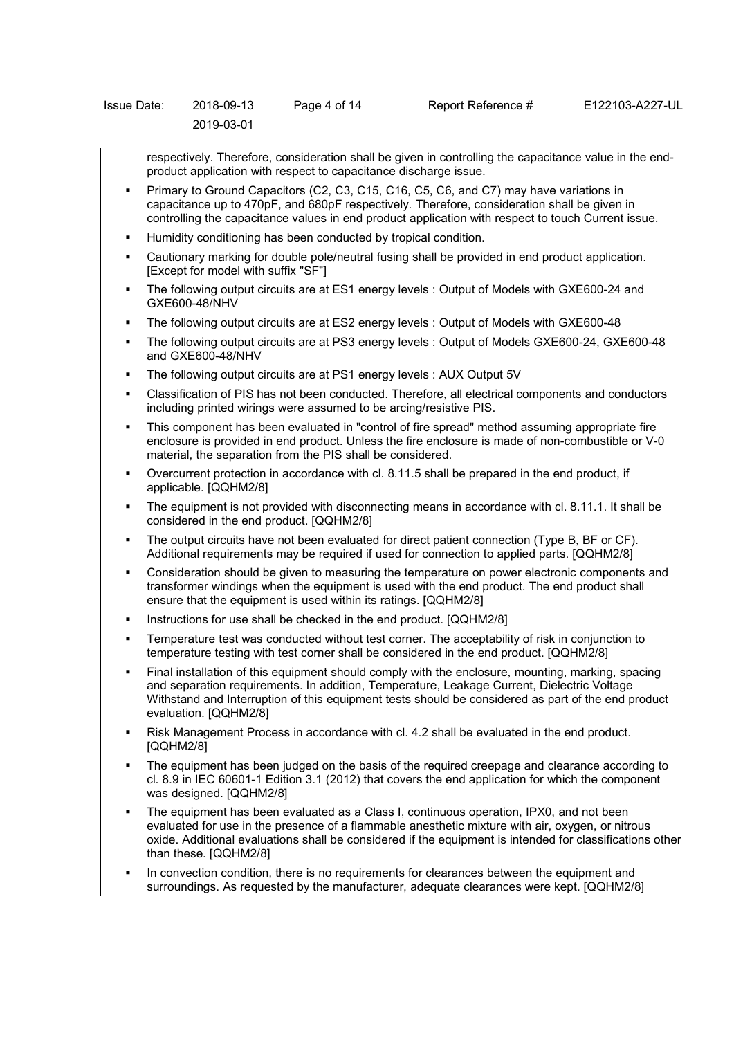| Issue Date: | 2018-09-13 | Page 4 of 14 |  |
|-------------|------------|--------------|--|
|             | 2019-03-01 |              |  |

respectively. Therefore, consideration shall be given in controlling the capacitance value in the endproduct application with respect to capacitance discharge issue.

- Primary to Ground Capacitors (C2, C3, C15, C16, C5, C6, and C7) may have variations in capacitance up to 470pF, and 680pF respectively. Therefore, consideration shall be given in controlling the capacitance values in end product application with respect to touch Current issue.
- Humidity conditioning has been conducted by tropical condition.
- Cautionary marking for double pole/neutral fusing shall be provided in end product application. [Except for model with suffix "SF"]
- The following output circuits are at ES1 energy levels : Output of Models with GXE600-24 and GXE600-48/NHV
- The following output circuits are at ES2 energy levels : Output of Models with GXE600-48
- The following output circuits are at PS3 energy levels : Output of Models GXE600-24, GXE600-48 and GXE600-48/NHV
- The following output circuits are at PS1 energy levels : AUX Output 5V
- Classification of PIS has not been conducted. Therefore, all electrical components and conductors including printed wirings were assumed to be arcing/resistive PIS.
- This component has been evaluated in "control of fire spread" method assuming appropriate fire enclosure is provided in end product. Unless the fire enclosure is made of non-combustible or V-0 material, the separation from the PIS shall be considered.
- Overcurrent protection in accordance with cl. 8.11.5 shall be prepared in the end product, if applicable. [QQHM2/8]
- The equipment is not provided with disconnecting means in accordance with cl. 8.11.1. It shall be considered in the end product. [QQHM2/8]
- The output circuits have not been evaluated for direct patient connection (Type B, BF or CF). Additional requirements may be required if used for connection to applied parts. [QQHM2/8]
- Consideration should be given to measuring the temperature on power electronic components and transformer windings when the equipment is used with the end product. The end product shall ensure that the equipment is used within its ratings. [QQHM2/8]
- Instructions for use shall be checked in the end product. [QQHM2/8]
- Temperature test was conducted without test corner. The acceptability of risk in conjunction to temperature testing with test corner shall be considered in the end product. [QQHM2/8]
- Final installation of this equipment should comply with the enclosure, mounting, marking, spacing and separation requirements. In addition, Temperature, Leakage Current, Dielectric Voltage Withstand and Interruption of this equipment tests should be considered as part of the end product evaluation. [QQHM2/8]
- Risk Management Process in accordance with cl. 4.2 shall be evaluated in the end product. [QQHM2/8]
- The equipment has been judged on the basis of the required creepage and clearance according to cl. 8.9 in IEC 60601-1 Edition 3.1 (2012) that covers the end application for which the component was designed. [QQHM2/8]
- The equipment has been evaluated as a Class I, continuous operation, IPX0, and not been evaluated for use in the presence of a flammable anesthetic mixture with air, oxygen, or nitrous oxide. Additional evaluations shall be considered if the equipment is intended for classifications other than these. [QQHM2/8]
- In convection condition, there is no requirements for clearances between the equipment and surroundings. As requested by the manufacturer, adequate clearances were kept. [QQHM2/8]